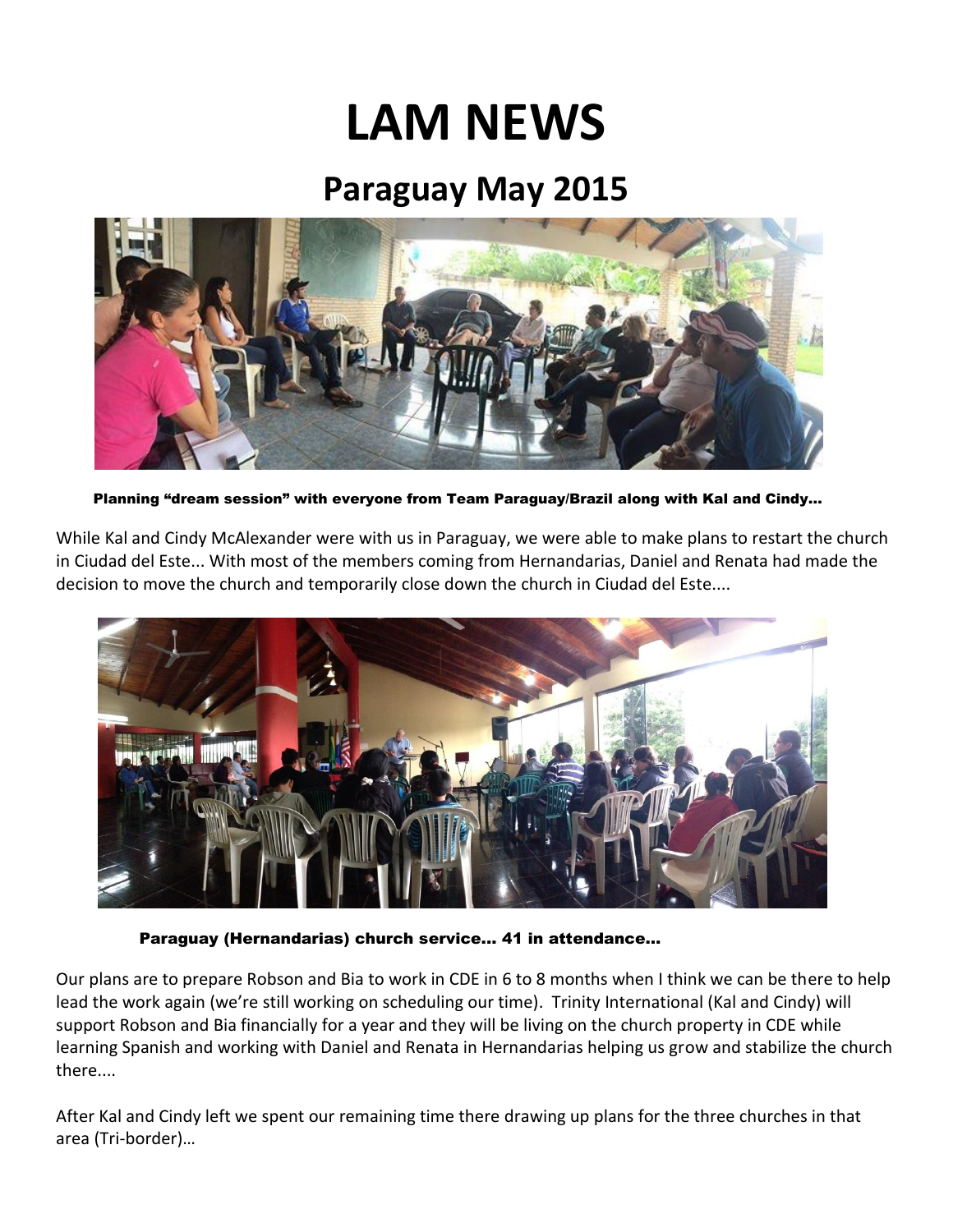## **LAM NEWS**

## **Paraguay May 2015**



Planning "dream session" with everyone from Team Paraguay/Brazil along with Kal and Cindy…

While Kal and Cindy McAlexander were with us in Paraguay, we were able to make plans to restart the church in Ciudad del Este... With most of the members coming from Hernandarias, Daniel and Renata had made the decision to move the church and temporarily close down the church in Ciudad del Este....



Paraguay (Hernandarias) church service... 41 in attendance…

Our plans are to prepare Robson and Bia to work in CDE in 6 to 8 months when I think we can be there to help lead the work again (we're still working on scheduling our time). Trinity International (Kal and Cindy) will support Robson and Bia financially for a year and they will be living on the church property in CDE while learning Spanish and working with Daniel and Renata in Hernandarias helping us grow and stabilize the church there....

After Kal and Cindy left we spent our remaining time there drawing up plans for the three churches in that area (Tri-border)…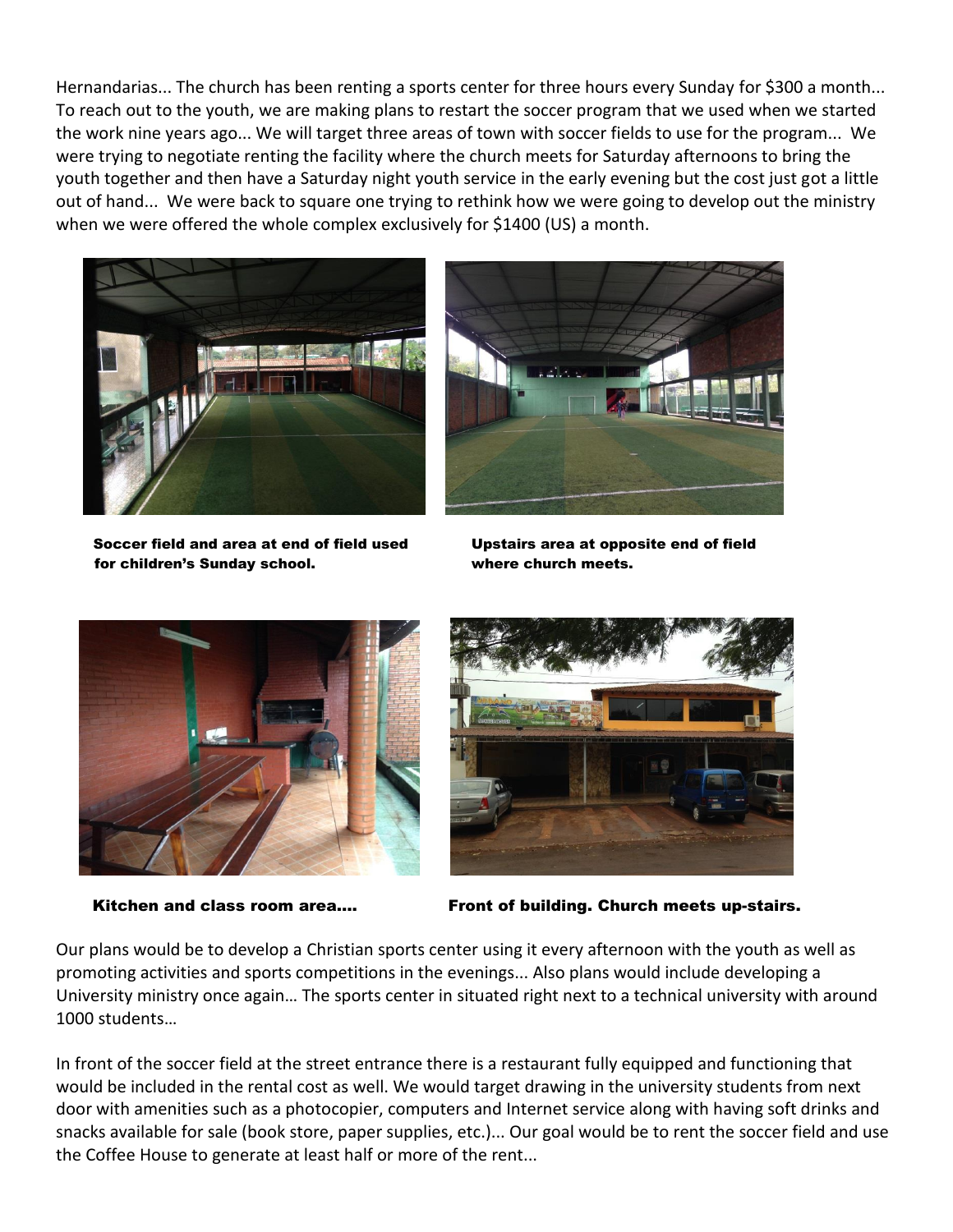Hernandarias... The church has been renting a sports center for three hours every Sunday for \$300 a month... To reach out to the youth, we are making plans to restart the soccer program that we used when we started the work nine years ago... We will target three areas of town with soccer fields to use for the program... We were trying to negotiate renting the facility where the church meets for Saturday afternoons to bring the youth together and then have a Saturday night youth service in the early evening but the cost just got a little out of hand... We were back to square one trying to rethink how we were going to develop out the ministry when we were offered the whole complex exclusively for \$1400 (US) a month.





Soccer field and area at end of field used Upstairs area at opposite end of field for children's Sunday school. where church meets.





Kitchen and class room area…. Front of building. Church meets up-stairs.

Our plans would be to develop a Christian sports center using it every afternoon with the youth as well as promoting activities and sports competitions in the evenings... Also plans would include developing a University ministry once again… The sports center in situated right next to a technical university with around 1000 students…

In front of the soccer field at the street entrance there is a restaurant fully equipped and functioning that would be included in the rental cost as well. We would target drawing in the university students from next door with amenities such as a photocopier, computers and Internet service along with having soft drinks and snacks available for sale (book store, paper supplies, etc.)... Our goal would be to rent the soccer field and use the Coffee House to generate at least half or more of the rent...